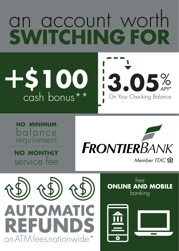## an account worth **SWITCHING FOR**

**\$100** cash bonus\*\* +

> **NO MINIMUM**  balance requirement

**NO MONTHLY**  service fee



**3.05**% APY\*

On Your Checking Balance